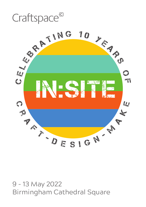

9 - 13 May 2022 Birmingham Cathedral Square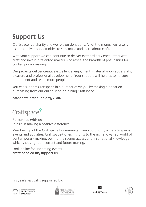## **Support Us**

Craftspace is a charity and we rely on donations. All of the money we raise is used to deliver opportunities to see, make and learn about craft.

With your support we can continue to deliver extraordinary encounters with craft and invest in talented makers who reveal the breadth of possibilities for contemporary making.

Our projects deliver creative excellence, enjoyment, material knowledge, skills, pleasure and professional development . Your support will help us to nurture more talent and reach more people.

You can support Craftspace in a number of ways – by making a donation, purchasing from our online shop or joining Craftspace+.

### **cafdonate.cafonline.org/7306**



**Be curious with us** Join us in making a positive difference.

Membership of the Craftspace+ community gives you priority access to special events and activities. Craftspace+ offers insights to the rich and varied world of contemporary making; behind the scenes access and inspirational knowledge which sheds light on current and future making.

Look online for upcoming events. **craftspace.co.uk/support-us**

This year's festival is supported by:







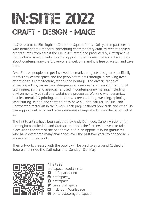# **IE 2022** craft - design - make

In:Site returns to Birmingham Cathedral Square for its 10th year in partnership with Birmingham Cathedral, presenting contemporary craft by recent applied art graduates from across the UK. It is curated and produced by Craftspace, a Birmingham based charity creating opportunities to see, make and be curious about contemporary craft. Everyone is welcome and it is free to watch and take part.

Over 5 days, people can get involved in creative projects designed specifically for this city centre space and the people that pass through it, drawing fresh attention to its architecture, stories and heritage. The diverse range of emerging artists, makers and designers will demonstrate new and traditional techniques, skills and approaches used in contemporary making, including environmentally ethical and sustainable processes. Working with ceramics, textiles, metal, 3D printing, embroidery, screen printing, weaving, spinning, laser cutting, felting and sgraffito, they have all used natural, unusual and unexpected materials in their work. Each project shows how craft and creativity can support wellbeing and raise awareness of important issues that affect all of us.

The In:Site artists have been selected by Andy Delmege, Canon Missioner for Birmingham Cathedral, and Craftspace. This is the first In:Site event to take place since the start of the pandemic, and is an opportunity for graduates who have overcome many challenges over the past two years to engage new audiences in their work.

Their artworks created with the public will be on display around Cathedral Square and inside the Cathedral until Sunday 15th May.



#InSite22 craftspace.co.uk/insite craftspacevideo craftspace\_ **O** craftspace **v** tweetcraftspace

**n** flickr.com/craftspace

 $\boldsymbol{\Theta}$  pinterest.com/craftspace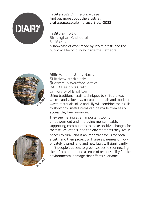

In:Site 2022 Online Showcase Find out more about the artists at **craftspace.co.uk/insite/artists-2022**

In:Site Exhibition Birmingham Cathedral 5 - 15 May A showcase of work made by In:Site artists and the public will be on display inside the Cathedral.



Billie Williams & Lily Hardy littletwistedthistle communitycraftcollective BA 3D Design & Craft University of Brighton Using traditional craft techniques to shift the way

we use and value raw, natural materials and modern waste materials, Billie and Lily will combine their skills to show how useful items can be made from easily accessible, free resources.

They see making as an important tool for empowerment and improving mental health, supporting communities to make positive changes for themselves, others, and the environments they live in.



Access to rural land is an important focus for both artists, and their project will raise awareness of how privately owned land and new laws will significantly limit people's access to green spaces, disconnecting them from nature and a sense of responsibility for the environmental damage that affects everyone.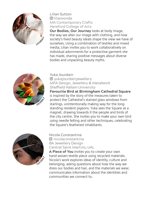

### Lilian Sutton lilianvonda MA Contemporary Crafts Hereford College of Arts

**Our Bodies, Our Journey** looks at body image, the way we alter our image with clothing, and how society's fixed beauty ideals shape the view we have of ourselves. Using a combination of textiles and mixed media, Lilian invites you to work collaboratively on individual adornments for a protective garment she has made, sharing positive messages about diverse bodies and unpacking beauty myths.



Yuka Jourdain

 yukajourdainjewellery MFA Design, Jewellery & Metalwork Sheffield Hallam University

**Favourite Bird at Birmingham Cathedral Square** is inspired by the story of the measures taken to protect the Cathedral's stained glass windows from starlings, unintentionally making way for the longstanding resident pigeons. Yuka sees the Square as a magnet, drawing towards it the people and birds of the city centre. She invites you to make your own bird using needle felting and other techniques, celebrating the Square's feathered inhabitants.



Nicola Constantina nicolaconstantina BA Jewellery Design Central Saint Martins, UAL

**A Piece of You** invites you to create your own hand woven textile piece using recycled materials. Nicola's work explores ideas of identity, culture and belonging, asking questions about how the way we dress our bodies and hair, and the materials we wear, communicates information about the identities and communities we connect to.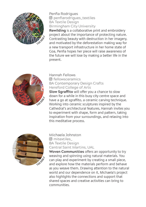

Penfia Rodrigues penfiarodrigues\_textiles BA Textile Design Birmingham City University

**Rewilding** is a collaborative print and embroidery project about the importance of protecting nature. Contrasting beauty with destruction in her imagery, and motivated by the deforestation making way for a new transport infrastructure in her home state of Goa, Penfia hopes her piece will raise awareness of the future we will lose by making a better life in the present.



Hannah Fellows fellowsceramics BA Contemporary Design Crafts Hereford College of Arts **Slow Sgraffito** will offer you a chance to slow down for a while in this busy city centre space and have a go at sgraffito, a ceramic carving technique. Working into ceramic sculptures inspired by the Cathedral's architectural features, Hannah invites you to experiment with shape, form and pattern, taking inspiration from your surroundings, and relaxing into this meditative process.



Michaela Johnston mitextiles\_ BA Textile Design Central Saint Martins, UAL

**Woven Communities** offers an opportunity to try weaving and spinning using natural materials. You can play and experiment by creating a small piece, and explore how the materials perform and behave as you weave them. Drawing attention to the natural world and our dependence on it, Michaela's project also highlights the connections and support that shared spaces and creative activities can bring to communities.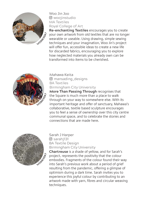

Woo Jin Joo woojinstudio MA Textiles Royal College of Art

**Re-enchanting Textiles** encourages you to create your own artwork from old textiles that are no longer wearable or useable. Using drawing, simple sewing techniques and your imagination, Woo Jin's project will offer fun, accessible ideas to create a new life for discarded fabrics, encouraging you to explore how neglected materials you already own can be transformed into items to be cherished.



Mahawa Keita

 mansading\_designs BA Textiles Birmingham City University

**More Than Passing Through** recognises that the Square is much more than a place to walk through on your way to somewhere else. With its important heritage and offer of sanctuary, Mahawa's collaborative, textile based sculpture encourages you to feel a sense of ownership over this city centre communal space, and to celebrate the stories and connections that are made here.



Sarah J Harper sarahj131 BA Textile Design Birmingham City University

**Chartreuse** is a shade of yellow, and for Sarah's project, represents the positivity that the colour embodies. Fragments of the colour found their way into Sarah's previous work about a period of grief resulting from the pandemic, offering a glimpse of optimism during a dark time. Sarah invites you to experience this joyful colour by contributing to an artwork made with yarn, fibres and circular weaving techniques.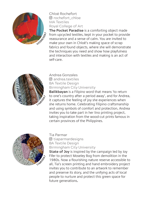

Chloé Rochefort rochefort\_chloe MA Textiles Royal College of Art

**The Pocket Paradise** is a comforting object made from upcycled textiles, kept in your pocket to provide reassurance and a sense of calm. You are invited to make your own in Chloé's making space of scrap fabrics and found objects, where she will demonstrate the techniques you need and show how playfulness and interaction with textiles and making is an act of self-care.



Andrea Gonzales **<u>andrea</u>** textiles BA Textile Design Birmingham City University

**Balikbayan** is a Filipino word that means 'to return to one's country after a period away', and for Andrea, it captures the feeling of joy she experiences when she returns home. Celebrating Filipino craftsmanship and using symbols of comfort and protection, Andrea invites you to take part in her lino printing project, taking inspiration from the wood-cut prints famous in certain provinces of the Philippines.



Tia Parmar tiaparmardesigns BA Textile Design Birmingham City University

**State of Joy** is inspired by the campaign led by Joy Fifer to protect Moseley Bog from demolition in the 1980s. Now a flourishing nature reserve accessible to all, Tia's screen printing and hand embroidery project invites you to contribute to an artwork to remember and preserve its story, and the unifying acts of local people to nurture and protect this green space for future generations**.**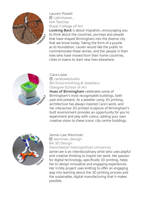

Lauren Powell l.pknitwear\_ MA Textiles Royal College of Art

**Looking Back** is about migration, encouraging you to think about the countries, journeys and people that have shaped Birmingham into the diverse city that we know today. Taking the form of a puzzle as its foundation, Lauren would like the public to commemorate these stories, and the people in their lives who have moved from their home countries, cities or towns to start new lives elsewhere.



Cara Lowe

 caralowestudio BA Silversmithing & Jewellery Glasgow School of Art

**Hues of Birmingham** celebrates some of Birmingham's most recognisable buildings, both past and present. As a jeweller using 3D printing, architecture has always inspired Cara's work, and her interactive 3D printed sculpture of Birmingham's built environment provides an opportunity for you to experiment and play with colour, adding your own creative vision to these iconic city centre buildings.



Jamie-Lee Wainman wainman\_design BA 3D Design Manchester Metropolitan University

Jamie-Lee is an interdisciplinary artist who uses playful and creative thinking to inspire her work. Her passion for digital technology, specifically 3D printing, helps her to design innovative and engaging experiences. Her In:Site project uses knitting to offer an engaging way into learning about the 3D printing process and the sustainable, digital manufacturing that it makes possible.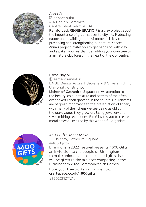

Anna Cebular **<u>Mannacebular</u>** MA Design Ceramics Central Saint Martins, UAL

**Reinforced: REGENERATION** is a clay project about the importance of green spaces to city life. Protecting nature and rewilding our environments is key to preserving and strengthening our natural spaces. Anna's project invites you to get hands on with clay and awaken your earthy side, adding your own tree to a miniature clay forest in the heart of the city centre.



#### Esme Naylor

 esmerosenaylor BA 3D Design & Craft, Jewellery & Silversmithing University of Brighton

**Lichen of Cathedral Square** draws attention to the beauty, colour, texture and pattern of the often overlooked lichen growing in the Square. Churchyards are of great importance to the preservation of lichen, with many of the lichens we see being as old as the gravestones they grow on. Using jewellery and silversmithing techniques, Esmé invites you to create a metal artwork inspired by this wonderful organism.



4600 Gifts: Mass Make 13 - 15 May, Cathedral Square #4600gifts

Birmingham 2022 Festival presents 4600 Gifts, an invitation to the people of Birmingham to make unique hand-embellished gifts that will be given to the athletes competing in the Birmingham 2022 Commonwealth Games.

Book your free workshop online now: **craftspace.co.uk/4600gifts**

#B2022FESTIVAL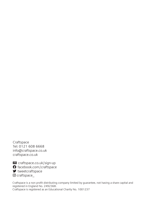Craftspace Tel: 0121 608 6668 info@craftspace.co.uk craftspace.co.uk

E craftspace.co.uk/sign-up

**O** facebook.com/craftspace

 $\blacktriangleright$  tweetcraftspace

© craftspace

Craftspace is a non profit distributing company limited by guarantee, not having a share capital and registered in England No. 2492368. Craftspace is registered as an Educational Charity No. 1001237